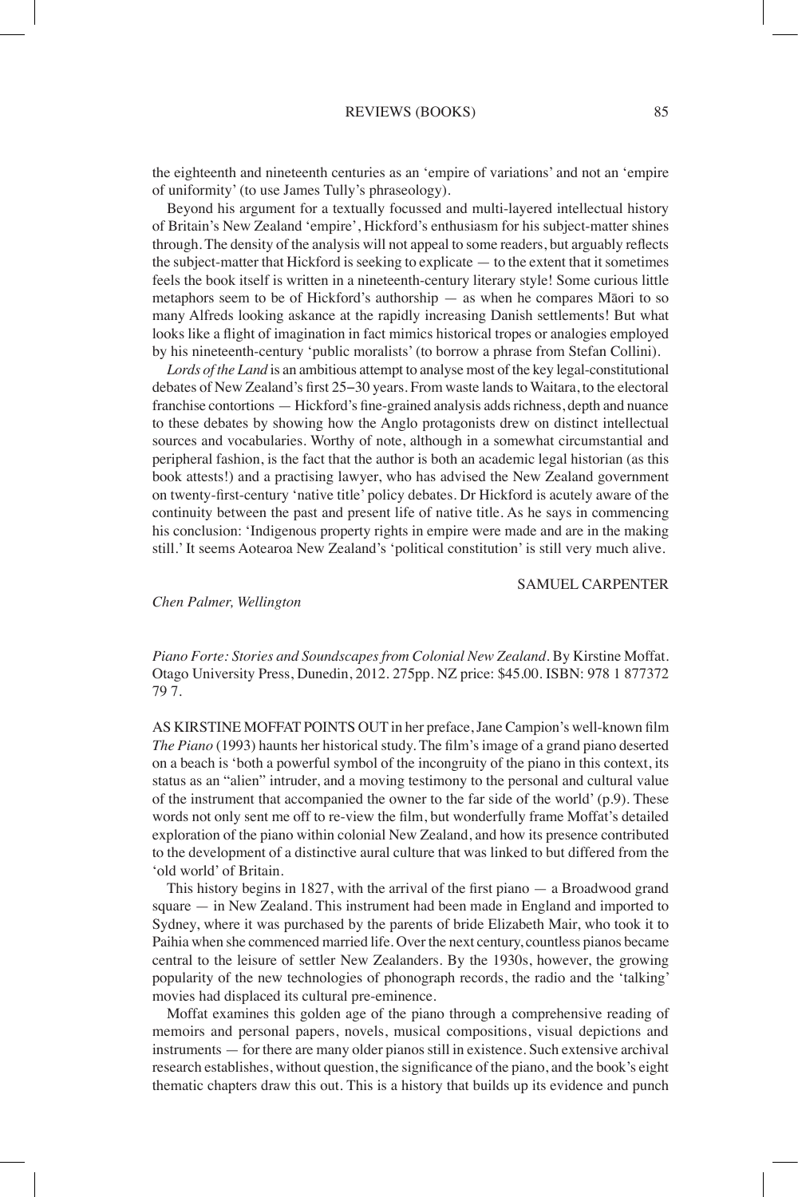the eighteenth and nineteenth centuries as an 'empire of variations' and not an 'empire of uniformity' (to use James Tully's phraseology).

Beyond his argument for a textually focussed and multi-layered intellectual history of Britain's New Zealand 'empire', Hickford's enthusiasm for his subject-matter shines through. The density of the analysis will not appeal to some readers, but arguably reflects the subject-matter that Hickford is seeking to explicate — to the extent that it sometimes feels the book itself is written in a nineteenth-century literary style! Some curious little metaphors seem to be of Hickford's authorship — as when he compares Māori to so many Alfreds looking askance at the rapidly increasing Danish settlements! But what looks like a flight of imagination in fact mimics historical tropes or analogies employed by his nineteenth-century 'public moralists' (to borrow a phrase from Stefan Collini).

*Lords of the Land* is an ambitious attempt to analyse most of the key legal-constitutional debates of New Zealand's first 25−30 years. From waste lands to Waitara, to the electoral franchise contortions — Hickford's fine-grained analysis adds richness, depth and nuance to these debates by showing how the Anglo protagonists drew on distinct intellectual sources and vocabularies. Worthy of note, although in a somewhat circumstantial and peripheral fashion, is the fact that the author is both an academic legal historian (as this book attests!) and a practising lawyer, who has advised the New Zealand government on twenty-first-century 'native title' policy debates. Dr Hickford is acutely aware of the continuity between the past and present life of native title. As he says in commencing his conclusion: 'Indigenous property rights in empire were made and are in the making still.' It seems Aotearoa New Zealand's 'political constitution' is still very much alive.

SAMUEL CARPENTER

## *Chen Palmer, Wellington*

*Piano Forte: Stories and Soundscapes from Colonial New Zealand*. By Kirstine Moffat. Otago University Press, Dunedin, 2012. 275pp. NZ price: \$45.00. ISBN: 978 1 877372 79 7.

AS KIRSTINE MOFFAT POINTS OUT in her preface, Jane Campion's well-known film *The Piano* (1993) haunts her historical study. The film's image of a grand piano deserted on a beach is 'both a powerful symbol of the incongruity of the piano in this context, its status as an "alien" intruder, and a moving testimony to the personal and cultural value of the instrument that accompanied the owner to the far side of the world' (p.9). These words not only sent me off to re-view the film, but wonderfully frame Moffat's detailed exploration of the piano within colonial New Zealand, and how its presence contributed to the development of a distinctive aural culture that was linked to but differed from the 'old world' of Britain.

This history begins in 1827, with the arrival of the first piano — a Broadwood grand square — in New Zealand. This instrument had been made in England and imported to Sydney, where it was purchased by the parents of bride Elizabeth Mair, who took it to Paihia when she commenced married life. Over the next century, countless pianos became central to the leisure of settler New Zealanders. By the 1930s, however, the growing popularity of the new technologies of phonograph records, the radio and the 'talking' movies had displaced its cultural pre-eminence.

Moffat examines this golden age of the piano through a comprehensive reading of memoirs and personal papers, novels, musical compositions, visual depictions and instruments — for there are many older pianos still in existence. Such extensive archival research establishes, without question, the significance of the piano, and the book's eight thematic chapters draw this out. This is a history that builds up its evidence and punch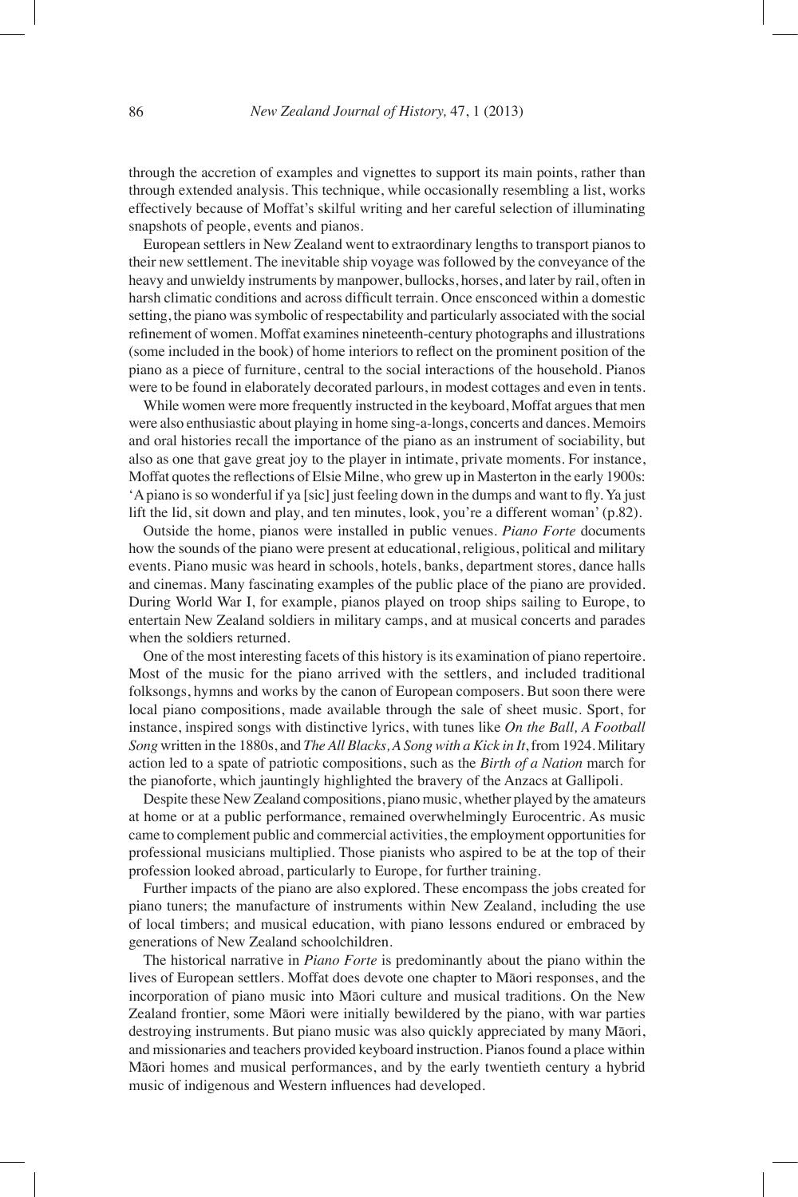through the accretion of examples and vignettes to support its main points, rather than through extended analysis. This technique, while occasionally resembling a list, works effectively because of Moffat's skilful writing and her careful selection of illuminating snapshots of people, events and pianos.

European settlers in New Zealand went to extraordinary lengths to transport pianos to their new settlement. The inevitable ship voyage was followed by the conveyance of the heavy and unwieldy instruments by manpower, bullocks, horses, and later by rail, often in harsh climatic conditions and across difficult terrain. Once ensconced within a domestic setting, the piano was symbolic of respectability and particularly associated with the social refinement of women. Moffat examines nineteenth-century photographs and illustrations (some included in the book) of home interiors to reflect on the prominent position of the piano as a piece of furniture, central to the social interactions of the household. Pianos were to be found in elaborately decorated parlours, in modest cottages and even in tents.

While women were more frequently instructed in the keyboard, Moffat argues that men were also enthusiastic about playing in home sing-a-longs, concerts and dances. Memoirs and oral histories recall the importance of the piano as an instrument of sociability, but also as one that gave great joy to the player in intimate, private moments. For instance, Moffat quotes the reflections of Elsie Milne, who grew up in Masterton in the early 1900s: 'Apiano is so wonderful if ya [sic] just feeling down in the dumps and want to fly. Ya just lift the lid, sit down and play, and ten minutes, look, you're a different woman' (p.82).

Outside the home, pianos were installed in public venues. *Piano Forte* documents how the sounds of the piano were present at educational, religious, political and military events. Piano music was heard in schools, hotels, banks, department stores, dance halls and cinemas. Many fascinating examples of the public place of the piano are provided. During World War I, for example, pianos played on troop ships sailing to Europe, to entertain New Zealand soldiers in military camps, and at musical concerts and parades when the soldiers returned.

One of the most interesting facets of this history is its examination of piano repertoire. Most of the music for the piano arrived with the settlers, and included traditional folksongs, hymns and works by the canon of European composers. But soon there were local piano compositions, made available through the sale of sheet music. Sport, for instance, inspired songs with distinctive lyrics, with tunes like *On the Ball, A Football Song* written in the 1880s, and *TheAll Blacks,A Song with a Kick in It*, from 1924. Military action led to a spate of patriotic compositions, such as the *Birth of a Nation* march for the pianoforte, which jauntingly highlighted the bravery of the Anzacs at Gallipoli.

Despite these New Zealand compositions, piano music, whether played by the amateurs at home or at a public performance, remained overwhelmingly Eurocentric. As music came to complement public and commercial activities, the employment opportunities for professional musicians multiplied. Those pianists who aspired to be at the top of their profession looked abroad, particularly to Europe, for further training.

Further impacts of the piano are also explored. These encompass the jobs created for piano tuners; the manufacture of instruments within New Zealand, including the use of local timbers; and musical education, with piano lessons endured or embraced by generations of New Zealand schoolchildren.

The historical narrative in *Piano Forte* is predominantly about the piano within the lives of European settlers. Moffat does devote one chapter to Māori responses, and the incorporation of piano music into Māori culture and musical traditions. On the New Zealand frontier, some Māori were initially bewildered by the piano, with war parties destroying instruments. But piano music was also quickly appreciated by many Māori, and missionaries and teachers provided keyboard instruction. Pianos found a place within Māori homes and musical performances, and by the early twentieth century a hybrid music of indigenous and Western influences had developed.